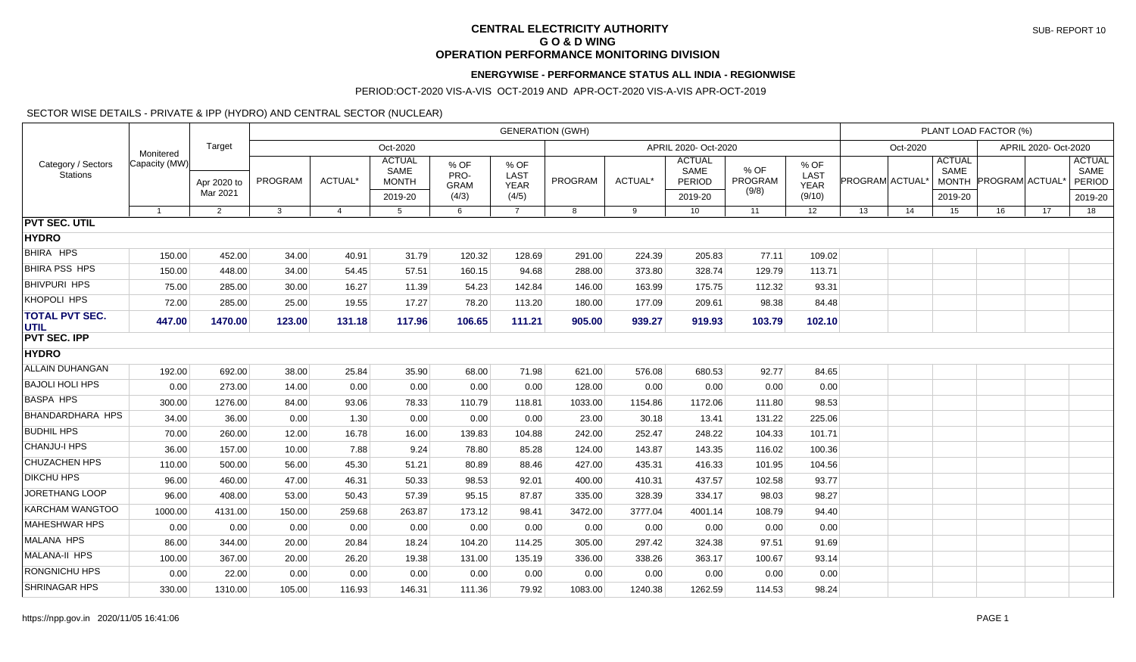## **CENTRAL ELECTRICITY AUTHORITY G O & D WING OPERATION PERFORMANCE MONITORING DIVISION**

## **ENERGYWISE - PERFORMANCE STATUS ALL INDIA - REGIONWISE**

#### PERIOD:OCT-2020 VIS-A-VIS OCT-2019 AND APR-OCT-2020 VIS-A-VIS APR-OCT-2019

### SECTOR WISE DETAILS - PRIVATE & IPP (HYDRO) AND CENTRAL SECTOR (NUCLEAR)

|                                       |               |                |         |                |                                       |                             | <b>GENERATION (GWH)</b>     |                |         |                                 |                 |                                    |    | PLANT LOAD FACTOR (%)<br>Oct-2020<br>APRIL 2020- Oct-2020<br><b>ACTUAL</b><br><b>ACTUAL</b><br>SAME<br><b>SAME</b><br>PROGRAM ACTUAL*<br><b>PROGRAM ACTUAL</b><br><b>PERIOD</b><br><b>MONTH</b><br>2019-20<br>2019-20<br>17<br>18<br>14<br>15<br>16 |  |  |
|---------------------------------------|---------------|----------------|---------|----------------|---------------------------------------|-----------------------------|-----------------------------|----------------|---------|---------------------------------|-----------------|------------------------------------|----|-----------------------------------------------------------------------------------------------------------------------------------------------------------------------------------------------------------------------------------------------------|--|--|
|                                       | Monitered     | Target         |         |                | Oct-2020                              |                             |                             |                |         | APRIL 2020- Oct-2020            |                 |                                    |    |                                                                                                                                                                                                                                                     |  |  |
| Category / Sectors<br><b>Stations</b> | Capacity (MW) | Apr 2020 to    | PROGRAM | ACTUAL*        | <b>ACTUAL</b><br>SAME<br><b>MONTH</b> | % OF<br>PRO-<br><b>GRAM</b> | % OF<br>LAST<br><b>YEAR</b> | <b>PROGRAM</b> | ACTUAL* | <b>ACTUAL</b><br>SAME<br>PERIOD | % OF<br>PROGRAM | % OF<br><b>LAST</b><br><b>YEAR</b> |    |                                                                                                                                                                                                                                                     |  |  |
|                                       |               | Mar 2021       |         |                | 2019-20                               | (4/3)                       | (4/5)                       |                |         | 2019-20                         | (9/8)           | (9/10)                             |    |                                                                                                                                                                                                                                                     |  |  |
|                                       | $\mathbf{1}$  | $\overline{2}$ | 3       | $\overline{4}$ | 5                                     | 6                           | $\overline{7}$              | 8              | 9       | 10                              | 11              | 12                                 | 13 |                                                                                                                                                                                                                                                     |  |  |
| <b>PVT SEC. UTIL</b>                  |               |                |         |                |                                       |                             |                             |                |         |                                 |                 |                                    |    |                                                                                                                                                                                                                                                     |  |  |
| <b>HYDRO</b>                          |               |                |         |                |                                       |                             |                             |                |         |                                 |                 |                                    |    |                                                                                                                                                                                                                                                     |  |  |
| BHIRA HPS                             | 150.00        | 452.00         | 34.00   | 40.91          | 31.79                                 | 120.32                      | 128.69                      | 291.00         | 224.39  | 205.83                          | 77.11           | 109.02                             |    |                                                                                                                                                                                                                                                     |  |  |
| <b>BHIRA PSS HPS</b>                  | 150.00        | 448.00         | 34.00   | 54.45          | 57.51                                 | 160.15                      | 94.68                       | 288.00         | 373.80  | 328.74                          | 129.79          | 113.71                             |    |                                                                                                                                                                                                                                                     |  |  |
| <b>BHIVPURI HPS</b>                   | 75.00         | 285.00         | 30.00   | 16.27          | 11.39                                 | 54.23                       | 142.84                      | 146.00         | 163.99  | 175.75                          | 112.32          | 93.31                              |    |                                                                                                                                                                                                                                                     |  |  |
| KHOPOLI HPS                           | 72.00         | 285.00         | 25.00   | 19.55          | 17.27                                 | 78.20                       | 113.20                      | 180.00         | 177.09  | 209.61                          | 98.38           | 84.48                              |    |                                                                                                                                                                                                                                                     |  |  |
| <b>TOTAL PVT SEC.</b><br><b>UTIL</b>  | 447.00        | 1470.00        | 123.00  | 131.18         | 117.96                                | 106.65                      | 111.21                      | 905.00         | 939.27  | 919.93                          | 103.79          | 102.10                             |    |                                                                                                                                                                                                                                                     |  |  |
| <b>PVT SEC. IPP</b>                   |               |                |         |                |                                       |                             |                             |                |         |                                 |                 |                                    |    |                                                                                                                                                                                                                                                     |  |  |
| <b>HYDRO</b>                          |               |                |         |                |                                       |                             |                             |                |         |                                 |                 |                                    |    |                                                                                                                                                                                                                                                     |  |  |
| ALLAIN DUHANGAN                       | 192.00        | 692.00         | 38.00   | 25.84          | 35.90                                 | 68.00                       | 71.98                       | 621.00         | 576.08  | 680.53                          | 92.77           | 84.65                              |    |                                                                                                                                                                                                                                                     |  |  |
| <b>BAJOLI HOLI HPS</b>                | 0.00          | 273.00         | 14.00   | 0.00           | 0.00                                  | 0.00                        | 0.00                        | 128.00         | 0.00    | 0.00                            | 0.00            | 0.00                               |    |                                                                                                                                                                                                                                                     |  |  |
| <b>BASPA HPS</b>                      | 300.00        | 1276.00        | 84.00   | 93.06          | 78.33                                 | 110.79                      | 118.81                      | 1033.00        | 1154.86 | 1172.06                         | 111.80          | 98.53                              |    |                                                                                                                                                                                                                                                     |  |  |
| <b>BHANDARDHARA HPS</b>               | 34.00         | 36.00          | 0.00    | 1.30           | 0.00                                  | 0.00                        | 0.00                        | 23.00          | 30.18   | 13.41                           | 131.22          | 225.06                             |    |                                                                                                                                                                                                                                                     |  |  |
| <b>BUDHIL HPS</b>                     | 70.00         | 260.00         | 12.00   | 16.78          | 16.00                                 | 139.83                      | 104.88                      | 242.00         | 252.47  | 248.22                          | 104.33          | 101.71                             |    |                                                                                                                                                                                                                                                     |  |  |
| <b>CHANJU-I HPS</b>                   | 36.00         | 157.00         | 10.00   | 7.88           | 9.24                                  | 78.80                       | 85.28                       | 124.00         | 143.87  | 143.35                          | 116.02          | 100.36                             |    |                                                                                                                                                                                                                                                     |  |  |
| <b>CHUZACHEN HPS</b>                  | 110.00        | 500.00         | 56.00   | 45.30          | 51.21                                 | 80.89                       | 88.46                       | 427.00         | 435.31  | 416.33                          | 101.95          | 104.56                             |    |                                                                                                                                                                                                                                                     |  |  |
| <b>DIKCHU HPS</b>                     | 96.00         | 460.00         | 47.00   | 46.31          | 50.33                                 | 98.53                       | 92.01                       | 400.00         | 410.31  | 437.57                          | 102.58          | 93.77                              |    |                                                                                                                                                                                                                                                     |  |  |
| <b>JORETHANG LOOP</b>                 | 96.00         | 408.00         | 53.00   | 50.43          | 57.39                                 | 95.15                       | 87.87                       | 335.00         | 328.39  | 334.17                          | 98.03           | 98.27                              |    |                                                                                                                                                                                                                                                     |  |  |
| KARCHAM WANGTOO                       | 1000.00       | 4131.00        | 150.00  | 259.68         | 263.87                                | 173.12                      | 98.41                       | 3472.00        | 3777.04 | 4001.14                         | 108.79          | 94.40                              |    |                                                                                                                                                                                                                                                     |  |  |
| <b>MAHESHWAR HPS</b>                  | 0.00          | 0.00           | 0.00    | 0.00           | 0.00                                  | 0.00                        | 0.00                        | 0.00           | 0.00    | 0.00                            | 0.00            | 0.00                               |    |                                                                                                                                                                                                                                                     |  |  |
| <b>MALANA HPS</b>                     | 86.00         | 344.00         | 20.00   | 20.84          | 18.24                                 | 104.20                      | 114.25                      | 305.00         | 297.42  | 324.38                          | 97.51           | 91.69                              |    |                                                                                                                                                                                                                                                     |  |  |
| <b>MALANA-II HPS</b>                  | 100.00        | 367.00         | 20.00   | 26.20          | 19.38                                 | 131.00                      | 135.19                      | 336.00         | 338.26  | 363.17                          | 100.67          | 93.14                              |    |                                                                                                                                                                                                                                                     |  |  |
| <b>RONGNICHU HPS</b>                  | 0.00          | 22.00          | 0.00    | 0.00           | 0.00                                  | 0.00                        | 0.00                        | 0.00           | 0.00    | 0.00                            | 0.00            | 0.00                               |    |                                                                                                                                                                                                                                                     |  |  |
| <b>SHRINAGAR HPS</b>                  | 330.00        | 1310.00        | 105.00  | 116.93         | 146.31                                | 111.36                      | 79.92                       | 1083.00        | 1240.38 | 1262.59                         | 114.53          | 98.24                              |    |                                                                                                                                                                                                                                                     |  |  |